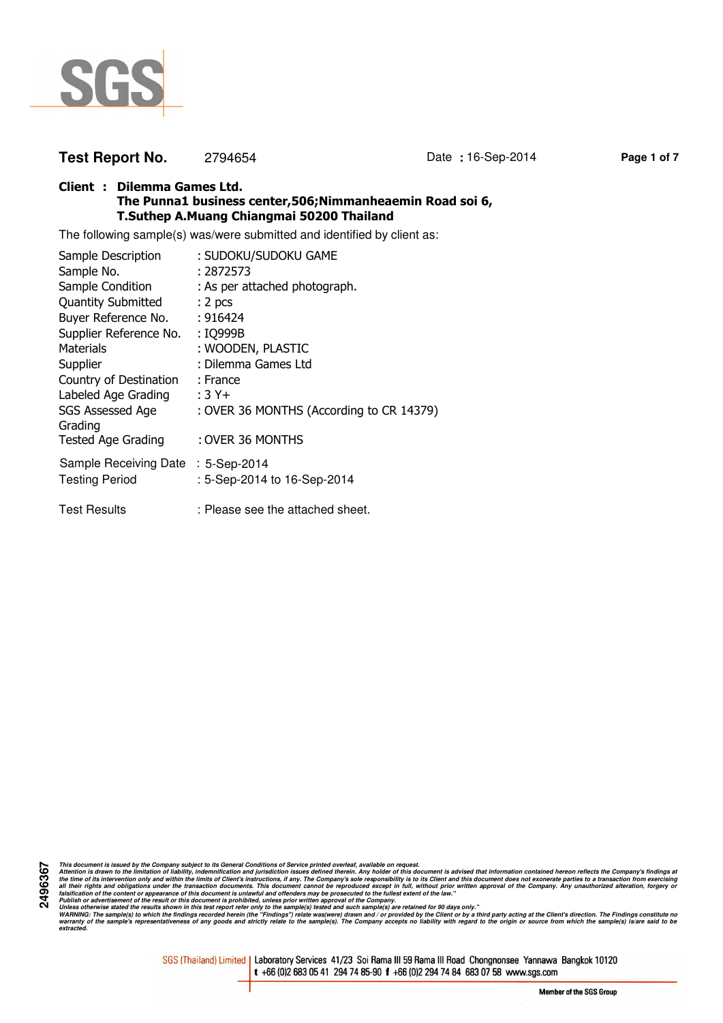

# **Test Report No.** 2794654 Date **:** 16-Sep-2014 **Page 1 of 7**

## **Client : Dilemma Games Ltd. The Punna1 business center,506;Nimmanheaemin Road soi 6, T.Suthep A.Muang Chiangmai 50200 Thailand**

The following sample(s) was/were submitted and identified by client as:

| Sample Description                 | : SUDOKU/SUDOKU GAME                     |
|------------------------------------|------------------------------------------|
| Sample No.                         | : 2872573                                |
| Sample Condition                   | : As per attached photograph.            |
| <b>Quantity Submitted</b>          | : 2 <sub>pcs</sub>                       |
| Buyer Reference No.                | : 916424                                 |
| Supplier Reference No.             | : IQ999B                                 |
| <b>Materials</b>                   | : WOODEN, PLASTIC                        |
| Supplier                           | : Dilemma Games Ltd                      |
| Country of Destination             | : France                                 |
| Labeled Age Grading                | $:3Y+$                                   |
| SGS Assessed Age<br>Grading        | : OVER 36 MONTHS (According to CR 14379) |
| <b>Tested Age Grading</b>          | : OVER 36 MONTHS                         |
| Sample Receiving Date : 5-Sep-2014 |                                          |
| <b>Testing Period</b>              | : 5-Sep-2014 to 16-Sep-2014              |
| <b>Test Results</b>                | : Please see the attached sheet.         |

**2496367** This document is issued by the Company subject to its General Conditions of Service printed overled, available on regard.<br>Attention is drawn to the ilmitation of liability, indemnification and jurisdiction issues defined t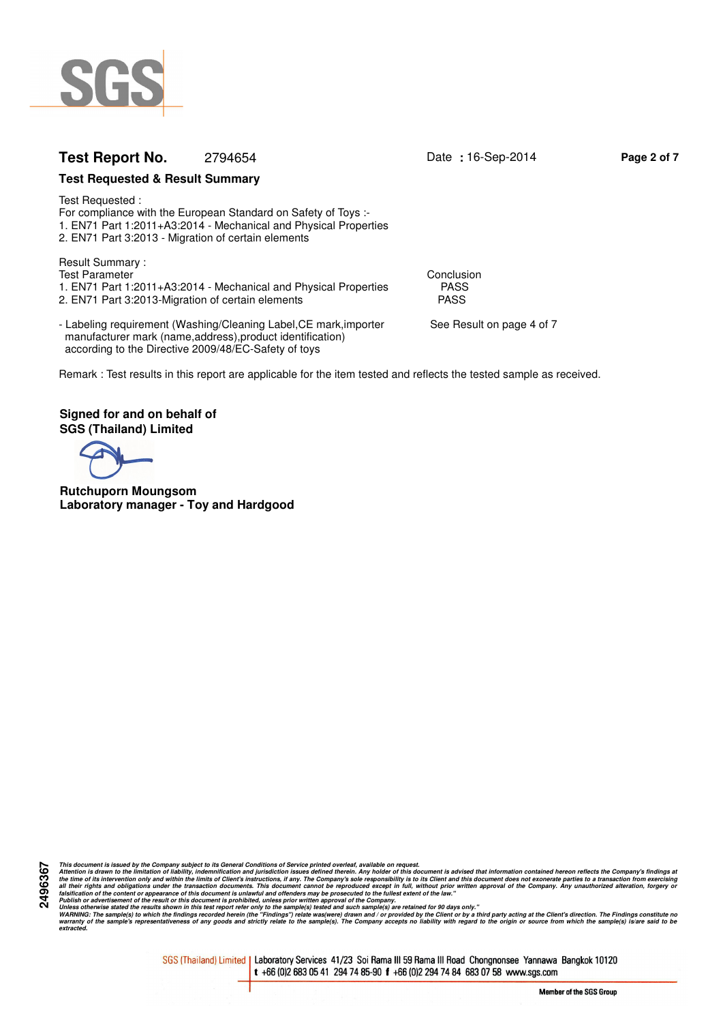

# **Test Report No.** 2794654 Date **:** 16-Sep-2014 **Page 2 of 7**

## **Test Requested & Result Summary**

Test Requested : For compliance with the European Standard on Safety of Toys :- 1. EN71 Part 1:2011+A3:2014 - Mechanical and Physical Properties 2. EN71 Part 3:2013 - Migration of certain elements

Result Summary : Test Parameter Conclusion<br>1. EN71 Part 1:2011+A3:2014 - Mechanical and Physical Properties FASS 1. EN71 Part 1:2011+A3:2014 - Mechanical and Physical Properties PASS<br>2. EN71 Part 3:2013-Migration of certain elements 2. EN71 Part 3:2013-Migration of certain elements

- Labeling requirement (Washing/Cleaning Label, CE mark, importer See Result on page 4 of 7 manufacturer mark (name,address),product identification) according to the Directive 2009/48/EC-Safety of toys

Remark : Test results in this report are applicable for the item tested and reflects the tested sample as received.

**Signed for and on behalf of SGS (Thailand) Limited**

**Rutchuporn Moungsom Laboratory manager - Toy and Hardgood**

**2496367**

This document is issued by the Company subject to its General Conditions of Service printed overled, available on regard.<br>Attention is drawn to the ilmitation of liability, indemnification and jurisdiction issues defined t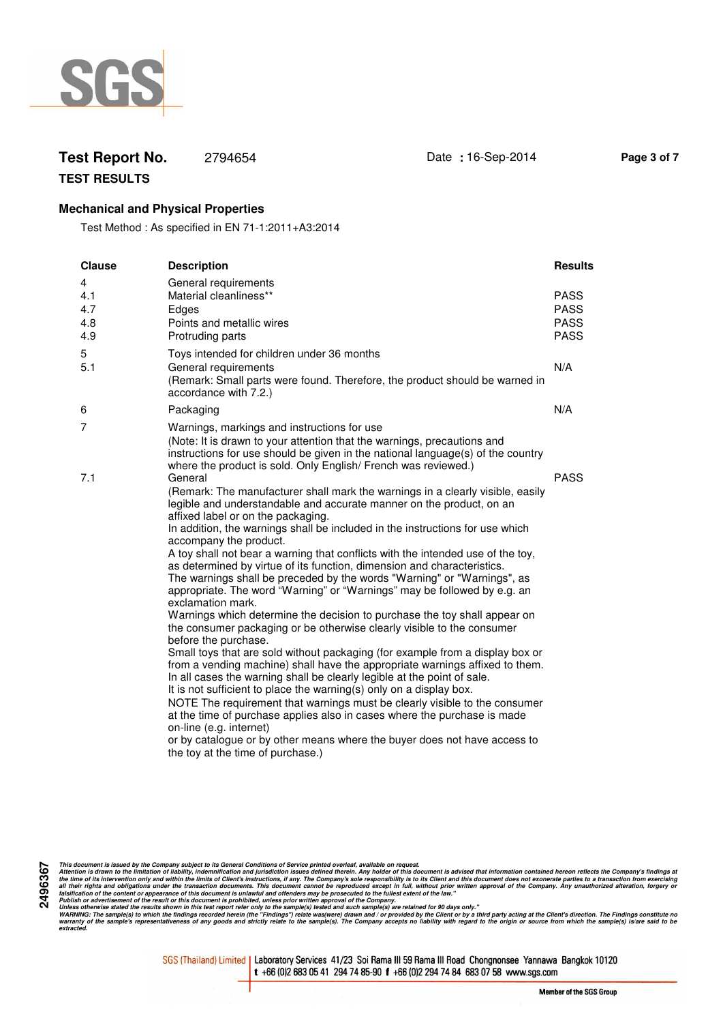

# **Test Report No.** 2794654 Date **:** 16-Sep-2014 **Page 3 of 7**

**TEST RESULTS**

## **Mechanical and Physical Properties**

Test Method : As specified in EN 71-1:2011+A3:2014

| <b>Clause</b>                 | <b>Description</b>                                                                                                                                                                                                                                                                                                                                                                                                                                                                                                                                                                                                                                                                                                                                                                                                                                                                                                                                                                                                                                                                                                                                                                                                                                                                                                                                                                                                                                                    | <b>Results</b>                                           |
|-------------------------------|-----------------------------------------------------------------------------------------------------------------------------------------------------------------------------------------------------------------------------------------------------------------------------------------------------------------------------------------------------------------------------------------------------------------------------------------------------------------------------------------------------------------------------------------------------------------------------------------------------------------------------------------------------------------------------------------------------------------------------------------------------------------------------------------------------------------------------------------------------------------------------------------------------------------------------------------------------------------------------------------------------------------------------------------------------------------------------------------------------------------------------------------------------------------------------------------------------------------------------------------------------------------------------------------------------------------------------------------------------------------------------------------------------------------------------------------------------------------------|----------------------------------------------------------|
| 4<br>4.1<br>4.7<br>4.8<br>4.9 | General requirements<br>Material cleanliness**<br>Edges<br>Points and metallic wires<br>Protruding parts                                                                                                                                                                                                                                                                                                                                                                                                                                                                                                                                                                                                                                                                                                                                                                                                                                                                                                                                                                                                                                                                                                                                                                                                                                                                                                                                                              | <b>PASS</b><br><b>PASS</b><br><b>PASS</b><br><b>PASS</b> |
| 5<br>5.1                      | Toys intended for children under 36 months<br>General requirements<br>(Remark: Small parts were found. Therefore, the product should be warned in<br>accordance with 7.2.)                                                                                                                                                                                                                                                                                                                                                                                                                                                                                                                                                                                                                                                                                                                                                                                                                                                                                                                                                                                                                                                                                                                                                                                                                                                                                            | N/A                                                      |
| 6                             | Packaging                                                                                                                                                                                                                                                                                                                                                                                                                                                                                                                                                                                                                                                                                                                                                                                                                                                                                                                                                                                                                                                                                                                                                                                                                                                                                                                                                                                                                                                             | N/A                                                      |
| $\overline{7}$                | Warnings, markings and instructions for use<br>(Note: It is drawn to your attention that the warnings, precautions and<br>instructions for use should be given in the national language(s) of the country<br>where the product is sold. Only English/ French was reviewed.)                                                                                                                                                                                                                                                                                                                                                                                                                                                                                                                                                                                                                                                                                                                                                                                                                                                                                                                                                                                                                                                                                                                                                                                           |                                                          |
| 7.1                           | General<br>(Remark: The manufacturer shall mark the warnings in a clearly visible, easily<br>legible and understandable and accurate manner on the product, on an<br>affixed label or on the packaging.<br>In addition, the warnings shall be included in the instructions for use which<br>accompany the product.<br>A toy shall not bear a warning that conflicts with the intended use of the toy,<br>as determined by virtue of its function, dimension and characteristics.<br>The warnings shall be preceded by the words "Warning" or "Warnings", as<br>appropriate. The word "Warning" or "Warnings" may be followed by e.g. an<br>exclamation mark.<br>Warnings which determine the decision to purchase the toy shall appear on<br>the consumer packaging or be otherwise clearly visible to the consumer<br>before the purchase.<br>Small toys that are sold without packaging (for example from a display box or<br>from a vending machine) shall have the appropriate warnings affixed to them.<br>In all cases the warning shall be clearly legible at the point of sale.<br>It is not sufficient to place the warning(s) only on a display box.<br>NOTE The requirement that warnings must be clearly visible to the consumer<br>at the time of purchase applies also in cases where the purchase is made<br>on-line (e.g. internet)<br>or by catalogue or by other means where the buyer does not have access to<br>the toy at the time of purchase.) | <b>PASS</b>                                              |

This document is issued by the Company subject to its General Conditions of Service printed overled, available on regard.<br>Attention is drawn to the ilmitation of liability, indemnification and jurisdiction issues defined t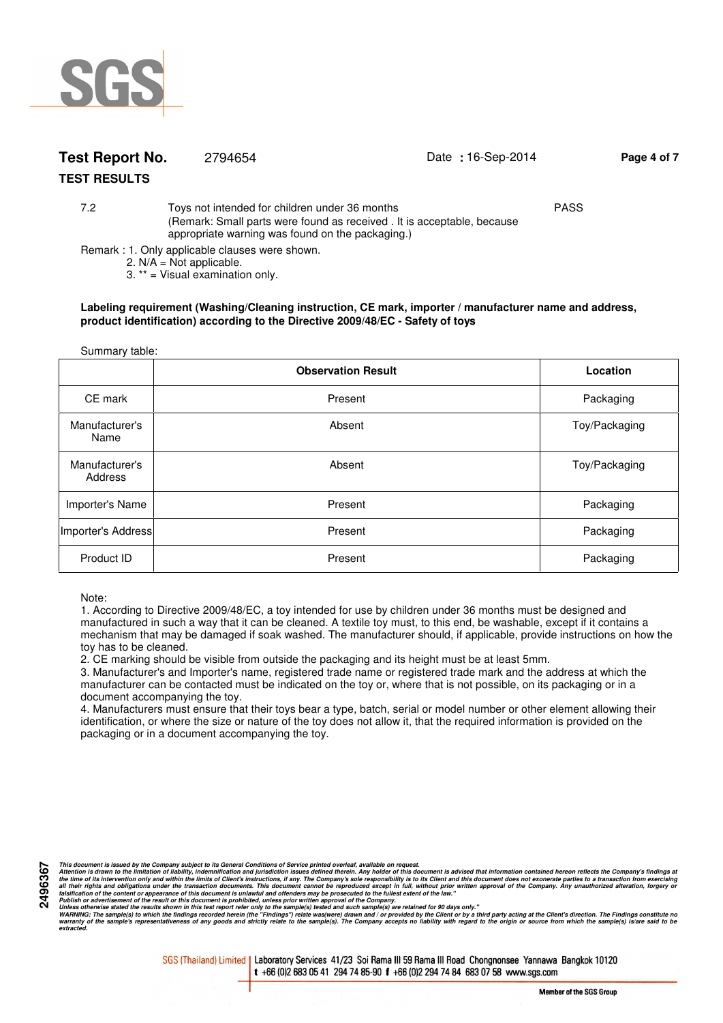

# **Test Report No.** 2794654 Date **:** 16-Sep-2014 **Page 4 of 7**

## **TEST RESULTS**

7.2 Toys not intended for children under 36 months PASS (Remark: Small parts were found as received . It is acceptable, because appropriate warning was found on the packaging.)

Remark : 1. Only applicable clauses were shown.

2.  $N/A = Not$  applicable.

3. \*\* = Visual examination only.

#### **Labeling requirement (Washing/Cleaning instruction, CE mark, importer / manufacturer name and address, product identification) according to the Directive 2009/48/EC - Safety of toys**

| Summary table:            |                           |               |  |
|---------------------------|---------------------------|---------------|--|
|                           | <b>Observation Result</b> | Location      |  |
| CE mark                   | Present                   | Packaging     |  |
| Manufacturer's<br>Name    | Absent                    | Toy/Packaging |  |
| Manufacturer's<br>Address | Absent                    | Toy/Packaging |  |
| Importer's Name           | Present                   | Packaging     |  |
| Importer's Address        | Present                   | Packaging     |  |
| Product ID                | Present                   | Packaging     |  |

# Note:

1. According to Directive 2009/48/EC, a toy intended for use by children under 36 months must be designed and manufactured in such a way that it can be cleaned. A textile toy must, to this end, be washable, except if it contains a mechanism that may be damaged if soak washed. The manufacturer should, if applicable, provide instructions on how the toy has to be cleaned.

2. CE marking should be visible from outside the packaging and its height must be at least 5mm.

3. Manufacturer's and Importer's name, registered trade name or registered trade mark and the address at which the manufacturer can be contacted must be indicated on the toy or, where that is not possible, on its packaging or in a document accompanying the toy.

4. Manufacturers must ensure that their toys bear a type, batch, serial or model number or other element allowing their identification, or where the size or nature of the toy does not allow it, that the required information is provided on the packaging or in a document accompanying the toy.

This document is issued by the Company subject to its General Conditions of Service printed overled, available on regard.<br>Attention is drawn to the ilmitation of liability, indemnification and jurisdiction issues defined t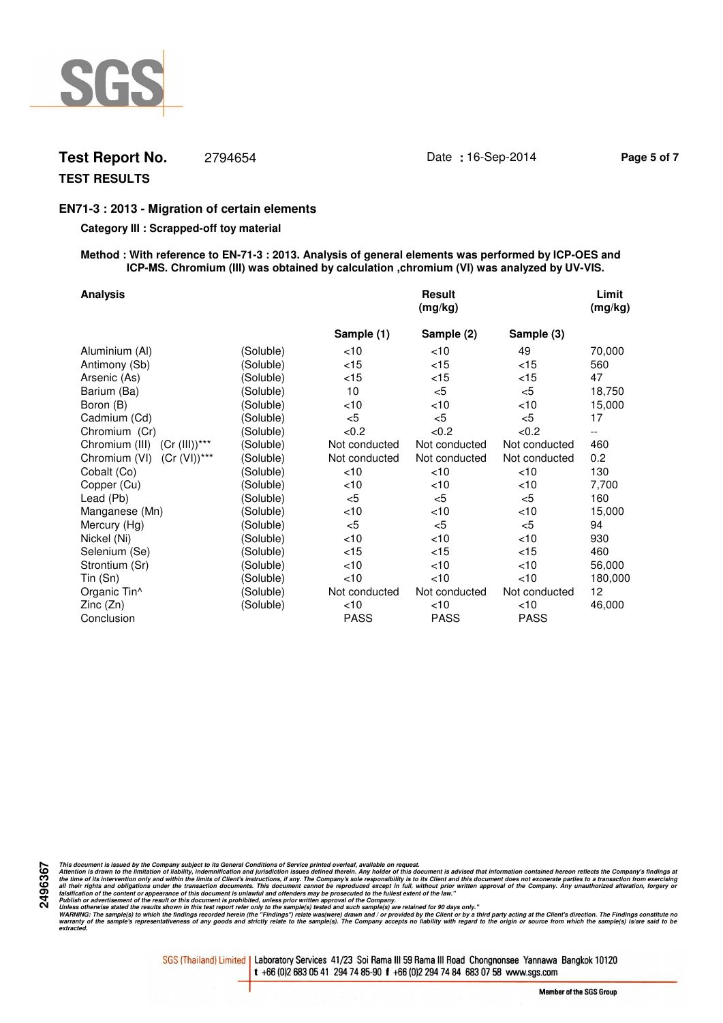

# **Test Report No.** 2794654 Date **:** 16-Sep-2014 **Page 5 of 7**

# **TEST RESULTS**

## **EN71-3 : 2013 - Migration of certain elements**

### **Category III : Scrapped-off toy material**

#### **Method : With reference to EN-71-3 : 2013. Analysis of general elements was performed by ICP-OES and ICP-MS. Chromium (III) was obtained by calculation ,chromium (VI) was analyzed by UV-VIS.**

| <b>Analysis</b>                 |           |               | <b>Result</b><br>(mg/kg) |               | Limit<br>(mg/kg) |
|---------------------------------|-----------|---------------|--------------------------|---------------|------------------|
|                                 |           | Sample (1)    | Sample (2)               | Sample (3)    |                  |
| Aluminium (Al)                  | (Soluble) | <10           | $<$ 10                   | 49            | 70,000           |
| Antimony (Sb)                   | (Soluble) | $<$ 15        | $<$ 15                   | < 15          | 560              |
| Arsenic (As)                    | (Soluble) | $<$ 15        | $<$ 15                   | $<$ 15        | 47               |
| Barium (Ba)                     | (Soluble) | 10            | $<$ 5                    | $5$           | 18,750           |
| Boron (B)                       | (Soluble) | <10           | $<$ 10                   | < 10          | 15,000           |
| Cadmium (Cd)                    | (Soluble) | $5$           | $<$ 5                    | $5$           | 17               |
| Chromium (Cr)                   | (Soluble) | <0.2          | < 0.2                    | < 0.2         | --               |
| Chromium (III) (Cr (III))***    | (Soluble) | Not conducted | Not conducted            | Not conducted | 460              |
| $(Cr (VI))***$<br>Chromium (VI) | (Soluble) | Not conducted | Not conducted            | Not conducted | 0.2              |
| Cobalt (Co)                     | (Soluble) | <10           | $<$ 10                   | <10           | 130              |
| Copper (Cu)                     | (Soluble) | <10           | $<$ 10                   | <10           | 7,700            |
| Lead (Pb)                       | (Soluble) | $<$ 5         | $<$ 5                    | $<$ 5         | 160              |
| Manganese (Mn)                  | (Soluble) | <10           | $<$ 10                   | <10           | 15,000           |
| Mercury (Hg)                    | (Soluble) | $5$           | $<$ 5                    | $<$ 5         | 94               |
| Nickel (Ni)                     | (Soluble) | <10           | $<$ 10                   | <10           | 930              |
| Selenium (Se)                   | (Soluble) | $<$ 15        | $<$ 15                   | < 15          | 460              |
| Strontium (Sr)                  | (Soluble) | <10           | $<$ 10                   | <10           | 56,000           |
| Tin (Sn)                        | (Soluble) | <10           | $<$ 10                   | <10           | 180,000          |
| Organic Tin <sup>^</sup>        | (Soluble) | Not conducted | Not conducted            | Not conducted | 12               |
| Zinc (Zn)                       | (Soluble) | $<$ 10        | $<$ 10                   | $<$ 10        | 46,000           |
| Conclusion                      |           | <b>PASS</b>   | <b>PASS</b>              | <b>PASS</b>   |                  |

**2496367**

This document is issued by the Company subject to its General Conditions of Service printed overled, available on regard.<br>Attention is drawn to the ilmitation of liability, indemnification and jurisdiction issues defined t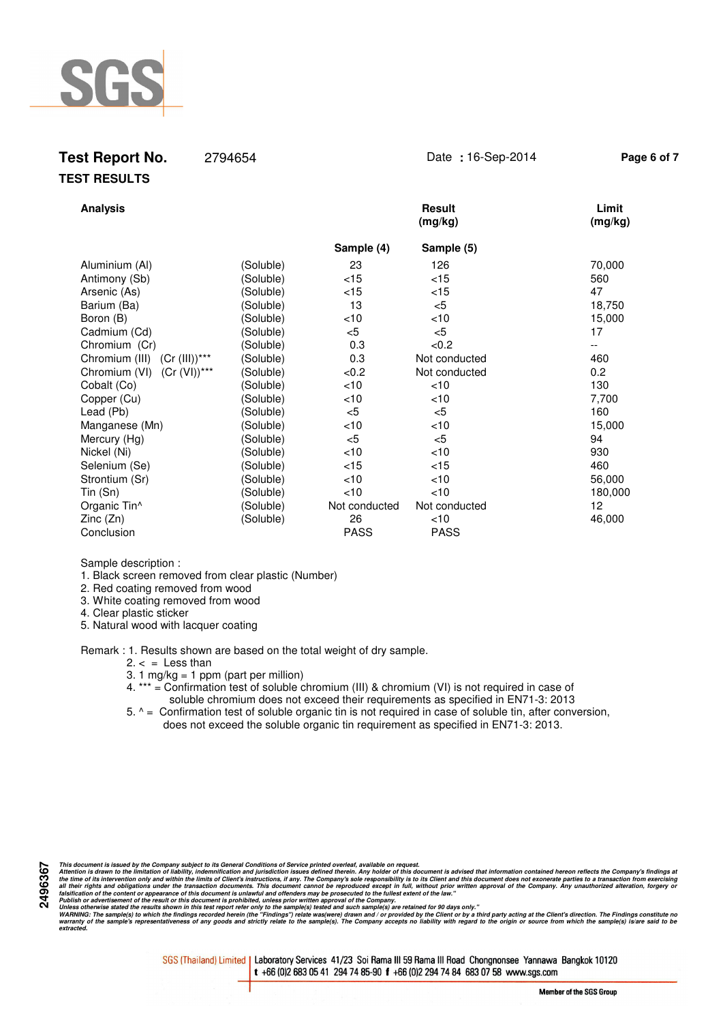

# **Test Report No.** 2794654 Date **:** 16-Sep-2014 **Page 6 of 7 TEST RESULTS**

| <b>Analysis</b>                    |           |               | <b>Result</b><br>(mg/kg) | Limit<br>(mg/kg) |
|------------------------------------|-----------|---------------|--------------------------|------------------|
|                                    |           | Sample (4)    | Sample (5)               |                  |
| Aluminium (Al)                     | (Soluble) | 23            | 126                      | 70,000           |
| Antimony (Sb)                      | (Soluble) | $<$ 15        | $<$ 15                   | 560              |
| Arsenic (As)                       | (Soluble) | $<$ 15        | $<$ 15                   | 47               |
| Barium (Ba)                        | (Soluble) | 13            | $<$ 5                    | 18,750           |
| Boron (B)                          | (Soluble) | $<$ 10        | $<$ 10                   | 15,000           |
| Cadmium (Cd)                       | (Soluble) | $<$ 5         | $<$ 5                    | 17               |
| Chromium (Cr)                      | (Soluble) | 0.3           | <0.2                     | --               |
| $(Cr (III))***$<br>Chromium (III)  | (Soluble) | 0.3           | Not conducted            | 460              |
| $(Cr (VI))^{***}$<br>Chromium (VI) | (Soluble) | <0.2          | Not conducted            | 0.2              |
| Cobalt (Co)                        | (Soluble) | < 10          | < 10                     | 130              |
| Copper (Cu)                        | (Soluble) | $<$ 10        | $<$ 10                   | 7,700            |
| Lead (Pb)                          | (Soluble) | $<$ 5         | $<$ 5                    | 160              |
| Manganese (Mn)                     | (Soluble) | $<$ 10        | $<$ 10                   | 15,000           |
| Mercury (Hg)                       | (Soluble) | $<$ 5         | $<$ 5                    | 94               |
| Nickel (Ni)                        | (Soluble) | $<$ 10        | $<$ 10                   | 930              |
| Selenium (Se)                      | (Soluble) | $<$ 15        | $<$ 15                   | 460              |
| Strontium (Sr)                     | (Soluble) | $<$ 10        | $<$ 10                   | 56,000           |
| Tin (Sn)                           | (Soluble) | $<$ 10        | < 10                     | 180,000          |
| Organic Tin <sup>^</sup>           | (Soluble) | Not conducted | Not conducted            | 12               |
| Zinc(Zn)                           | (Soluble) | 26            | $<$ 10                   | 46,000           |
| Conclusion                         |           | <b>PASS</b>   | <b>PASS</b>              |                  |

Sample description :

1. Black screen removed from clear plastic (Number)

2. Red coating removed from wood

3. White coating removed from wood

4. Clear plastic sticker

**2496367**

5. Natural wood with lacquer coating

Remark : 1. Results shown are based on the total weight of dry sample.

 $2. < =$  Less than

3. 1 mg/kg = 1 ppm (part per million)

- 4. \*\*\* = Confirmation test of soluble chromium (III) & chromium (VI) is not required in case of soluble chromium does not exceed their requirements as specified in EN71-3: 2013
- 5. ^ = Confirmation test of soluble organic tin is not required in case of soluble tin, after conversion, does not exceed the soluble organic tin requirement as specified in EN71-3: 2013.

This document is issued by the Company subject to its General Conditions of Service printed overled, available on regard.<br>Attention is drawn to the ilmitation of liability, indemnification and jurisdiction issues defined t